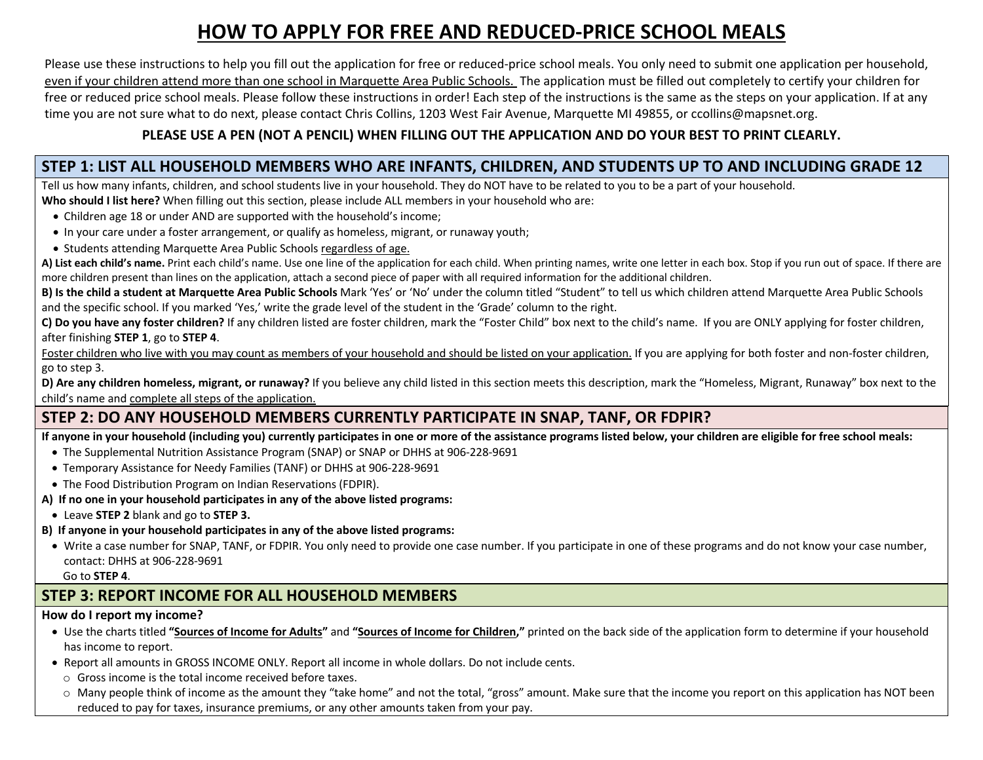# **HOW TO APPLY FOR FREE AND REDUCED-PRICE SCHOOL MEALS**

Please use these instructions to help you fill out the application for free or reduced-price school meals. You only need to submit one application per household, even if your children attend more than one school in Marquette Area Public Schools. The application must be filled out completely to certify your children for free or reduced price school meals. Please follow these instructions in order! Each step of the instructions is the same as the steps on your application. If at any time you are not sure what to do next, please contact Chris Collins, 1203 West Fair Avenue, Marquette MI 49855, or ccollins@mapsnet.org.

### **PLEASE USE A PEN (NOT A PENCIL) WHEN FILLING OUT THE APPLICATION AND DO YOUR BEST TO PRINT CLEARLY.**

### **STEP 1: LIST ALL HOUSEHOLD MEMBERS WHO ARE INFANTS, CHILDREN, AND STUDENTS UP TO AND INCLUDING GRADE 12**

Tell us how many infants, children, and school students live in your household. They do NOT have to be related to you to be a part of your household. **Who should I list here?** When filling out this section, please include ALL members in your household who are:

- Children age 18 or under AND are supported with the household's income;
- In your care under a foster arrangement, or qualify as homeless, migrant, or runaway youth;
- Students attending Marquette Area Public Schools regardless of age.

**A) List each child's name.** Print each child's name. Use one line of the application for each child. When printing names, write one letter in each box. Stop if you run out of space. If there are more children present than lines on the application, attach a second piece of paper with all required information for the additional children.

**B) Is the child a student at Marquette Area Public Schools** Mark 'Yes' or 'No' under the column titled "Student" to tell us which children attend Marquette Area Public Schools and the specific school. If you marked 'Yes,' write the grade level of the student in the 'Grade' column to the right.

**C) Do you have any foster children?** If any children listed are foster children, mark the "Foster Child" box next to the child's name. If you are ONLY applying for foster children, after finishing **STEP 1**, go to **STEP 4**.

Foster children who live with you may count as members of your household and should be listed on your application. If you are applying for both foster and non-foster children, go to step 3.

**D)** Are any children homeless, migrant, or runaway? If you believe any child listed in this section meets this description, mark the "Homeless, Migrant, Runaway" box next to the child's name and complete all steps of the application.

## **STEP 2: DO ANY HOUSEHOLD MEMBERS CURRENTLY PARTICIPATE IN SNAP, TANF, OR FDPIR?**

**If anyone in your household (including you) currently participates in one or more of the assistance programs listed below, your children are eligible for free school meals:**

- The Supplemental Nutrition Assistance Program (SNAP) or SNAP or DHHS at 906-228-9691
- Temporary Assistance for Needy Families (TANF) or DHHS at 906-228-9691
- The Food Distribution Program on Indian Reservations (FDPIR).

#### **A) If no one in your household participates in any of the above listed programs:**

- Leave **STEP 2** blank and go to **STEP 3.**
- **B) If anyone in your household participates in any of the above listed programs:**
- Write a case number for SNAP, TANF, or FDPIR. You only need to provide one case number. If you participate in one of these programs and do not know your case number, contact: DHHS at 906-228-9691

Go to **STEP 4**.

## **STEP 3: REPORT INCOME FOR ALL HOUSEHOLD MEMBERS**

#### **How do I report my income?**

- Use the charts titled **"Sources of Income for Adults"** and **"Sources of Income for Children,"** printed on the back side of the application form to determine if your household has income to report.
- Report all amounts in GROSS INCOME ONLY. Report all income in whole dollars. Do not include cents.
- o Gross income is the total income received before taxes.
- $\circ$  Many people think of income as the amount they "take home" and not the total, "gross" amount. Make sure that the income you report on this application has NOT been reduced to pay for taxes, insurance premiums, or any other amounts taken from your pay.